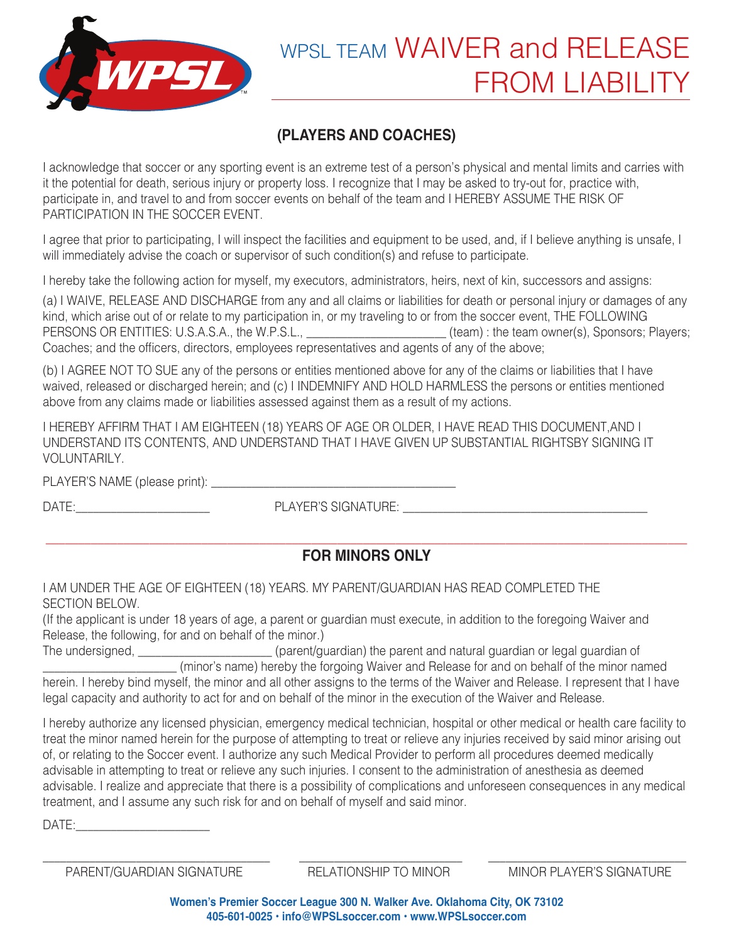

# WPSL TEAM WAIVER and RELEASE FROM LIABILITY

## **(PLAYERS AND COACHES)**

I acknowledge that soccer or any sporting event is an extreme test of a person's physical and mental limits and carries with it the potential for death, serious injury or property loss. I recognize that I may be asked to try-out for, practice with, participate in, and travel to and from soccer events on behalf of the team and I HEREBY ASSUME THE RISK OF PARTICIPATION IN THE SOCCER EVENT.

I agree that prior to participating, I will inspect the facilities and equipment to be used, and, if I believe anything is unsafe, I will immediately advise the coach or supervisor of such condition(s) and refuse to participate.

I hereby take the following action for myself, my executors, administrators, heirs, next of kin, successors and assigns:

(a) I WAIVE, RELEASE AND DISCHARGE from any and all claims or liabilities for death or personal injury or damages of any kind, which arise out of or relate to my participation in, or my traveling to or from the soccer event, THE FOLLOWING PERSONS OR ENTITIES: U.S.A.S.A., the W.P.S.L., **\_\_\_\_\_\_\_\_\_\_\_\_\_\_\_\_\_\_\_\_** (team) : the team owner(s), Sponsors; Players; Coaches; and the officers, directors, employees representatives and agents of any of the above;

(b) I AGREE NOT TO SUE any of the persons or entities mentioned above for any of the claims or liabilities that I have waived, released or discharged herein; and (c) I INDEMNIFY AND HOLD HARMLESS the persons or entities mentioned above from any claims made or liabilities assessed against them as a result of my actions.

I HEREBY AFFIRM THAT I AM EIGHTEEN (18) YEARS OF AGE OR OLDER, I HAVE READ THIS DOCUMENT,AND I UNDERSTAND ITS CONTENTS, AND UNDERSTAND THAT I HAVE GIVEN UP SUBSTANTIAL RIGHTSBY SIGNING IT VOLUNTARILY.

PLAYER'S NAME (please print): \_\_\_\_\_\_\_\_\_\_\_\_\_\_\_\_\_\_\_\_\_\_\_\_\_\_\_\_\_\_\_\_\_\_\_\_\_\_\_\_\_\_

DATE:\_\_\_\_\_\_\_\_\_\_\_\_\_\_\_\_\_\_\_\_\_\_\_ PLAYER'S SIGNATURE: \_\_\_\_\_\_\_\_\_\_\_\_\_\_\_\_\_\_\_\_\_\_\_\_\_\_\_\_\_\_\_\_\_\_\_\_\_\_\_\_\_\_

#### **\_\_\_\_\_\_\_\_\_\_\_\_\_\_\_\_\_\_\_\_\_\_\_\_\_\_\_\_\_\_\_\_\_\_\_\_\_\_\_\_\_\_\_\_\_\_\_\_\_\_\_\_\_\_\_\_\_\_\_\_\_\_\_\_\_\_\_\_\_\_\_\_\_\_\_\_\_\_\_\_\_\_\_\_\_\_\_\_\_\_\_\_\_\_\_\_\_\_\_ FOR MINORS ONLY**

I AM UNDER THE AGE OF EIGHTEEN (18) YEARS. MY PARENT/GUARDIAN HAS READ COMPLETED THE SECTION BELOW.

(If the applicant is under 18 years of age, a parent or guardian must execute, in addition to the foregoing Waiver and Release, the following, for and on behalf of the minor.)

The undersigned, \_\_\_\_\_\_\_\_\_\_\_\_\_\_\_\_\_\_\_\_\_\_\_\_(parent/guardian) the parent and natural guardian or legal guardian of \_\_\_\_\_\_\_\_\_\_\_\_\_\_\_\_\_\_\_\_\_\_\_ (minor's name) hereby the forgoing Waiver and Release for and on behalf of the minor named herein. I hereby bind myself, the minor and all other assigns to the terms of the Waiver and Release. I represent that I have legal capacity and authority to act for and on behalf of the minor in the execution of the Waiver and Release.

I hereby authorize any licensed physician, emergency medical technician, hospital or other medical or health care facility to treat the minor named herein for the purpose of attempting to treat or relieve any injuries received by said minor arising out of, or relating to the Soccer event. I authorize any such Medical Provider to perform all procedures deemed medically advisable in attempting to treat or relieve any such injuries. I consent to the administration of anesthesia as deemed advisable. I realize and appreciate that there is a possibility of complications and unforeseen consequences in any medical treatment, and I assume any such risk for and on behalf of myself and said minor.

 $DATE:$ 

\_\_\_\_\_\_\_\_\_\_\_\_\_\_\_\_\_\_\_\_\_\_\_\_\_\_\_\_\_\_\_\_\_\_\_\_\_\_\_ \_\_\_\_\_\_\_\_\_\_\_\_\_\_\_\_\_\_\_\_\_\_\_\_\_\_\_\_ \_\_\_\_\_\_\_\_\_\_\_\_\_\_\_\_\_\_\_\_\_\_\_\_\_\_\_\_\_\_\_\_\_\_ PARENT/GUARDIAN SIGNATURE RELATIONSHIP TO MINOR MINOR PLAYER'S SIGNATURE

**Women's Premier Soccer League 300 N. Walker Ave. Oklahoma City, OK 73102 405-601-0025 • info@WPSLsoccer.com • www.WPSLsoccer.com**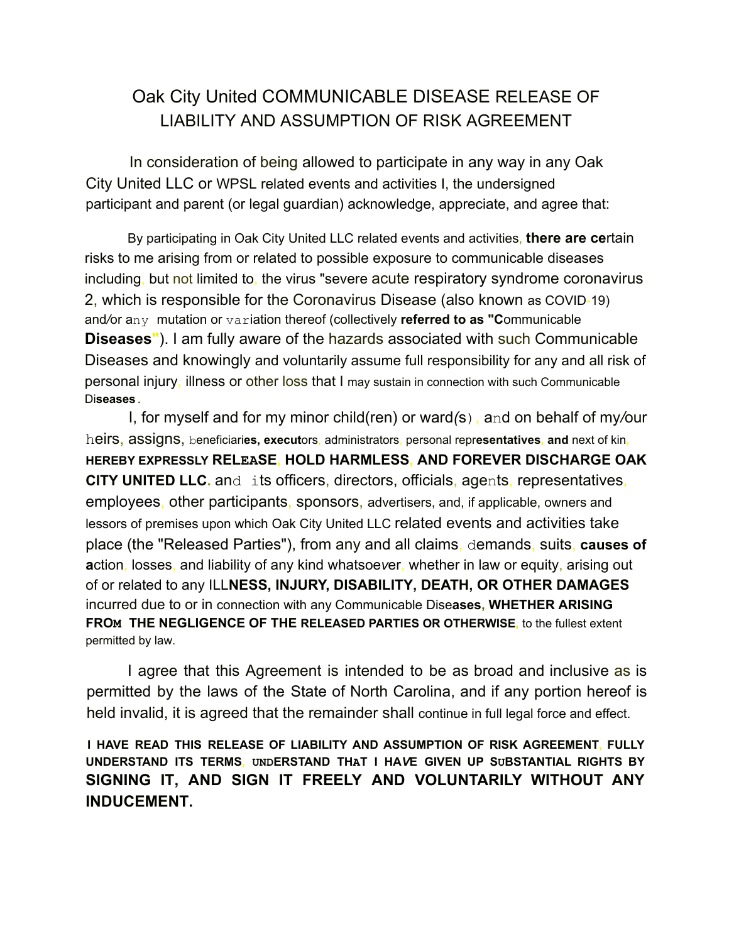## Oak City United COMMUNICABLE DISEASE RELEASE OF LIABILITY AND ASSUMPTION OF RISK AGREEMENT

In consideration of being allowed to participate in any way in any Oak City United LLC or WPSL related events and activities I, the undersigned participant and parent (or legal guardian) acknowledge, appreciate, and agree that:

By participating in Oak City United LLC related events and activities, **there are ce**rtain risks to me arising from or related to possible exposure to communicable diseases including, but not limited to, the virus "severe acute respiratory syndrome coronavirus 2, which is responsible for the Coronavirus Disease (also known as COVID-19) and*/*or any mutation or variation thereof (collectively **referred to as "C**ommunicable **Diseases"**). I am fully aware of the hazards associated with such Communicable Diseases and knowingly and voluntarily assume full responsibility for any and all risk of personal injury, illness or other loss that I may sustain in connection with such Communicable Di**seases.**

I, for myself and for my minor child(ren) or ward*(*s), and on behalf of my*/*our heirs, assigns, beneficiari**es, execut**ors, administrators, personal repr**esentatives, and** next of kin**, HEREBY EXPRESSLY RELEASE, HOLD HARMLESS, AND FOREVER DISCHARGE OAK CITY UNITED LLC.** and its officers, directors, officials, agents, representatives, employees, other participants, sponsors, advertisers, and, if applicable, owners and lessors of premises upon which Oak City United LLC related events and activities take place (the "Released Parties"), from any and all claims, demands, suits, **causes of a**ction, losses, and liability of any kind whatsoe*v*er, whether in law or equity, arising out of or related to any ILL**NESS, INJURY, DISABILITY, DEATH, OR OTHER DAMAGES** incurred due to or in connection with any Communicable Dise**ases, WHETHER ARISING FROM THE NEGLIGENCE OF THE RELEASED PARTIES OR OTHERWISE,** to the fullest extent permitted by law.

I agree that this Agreement is intended to be as broad and inclusive as is permitted by the laws of the State of North Carolina, and if any portion hereof is held invalid, it is agreed that the remainder shall continue in full legal force and effect.

**I HAVE READ THIS RELEASE OF LIABILITY AND ASSUMPTION OF RISK AGREEMENT, FULLY UNDERSTAND ITS TERMS, UNDERSTAND THAT I HA***V***E GIVEN UP SUBSTANTIAL RIGHTS BY SIGNING IT, AND SIGN IT FREELY AND VOLUNTARILY WITHOUT ANY INDUCEMENT.**